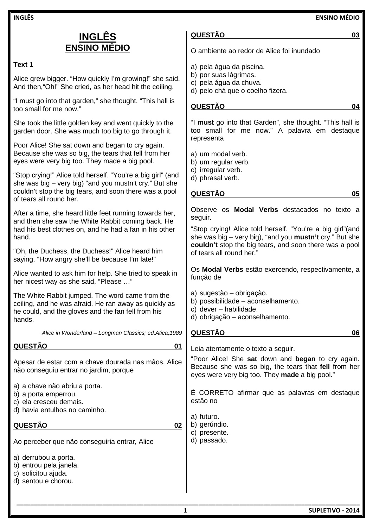**INGLÊS ENSINO MÉDIO**

# **INGLÊS ENSINO MÉDIO**

# **Text 1**

Alice grew bigger. "How quickly I'm growing!" she said. And then,"Oh!" She cried, as her head hit the ceiling.

"I must go into that garden," she thought. "This hall is too small for me now."

She took the little golden key and went quickly to the garden door. She was much too big to go through it.

Poor Alice! She sat down and began to cry again. Because she was so big, the tears that fell from her eyes were very big too. They made a big pool.

"Stop crying!" Alice told herself. "You're a big girl" (and she was big – very big) "and you mustn't cry." But she couldn't stop the big tears, and soon there was a pool of tears all round her.

After a time, she heard little feet running towards her, and then she saw the White Rabbit coming back. He had his best clothes on, and he had a fan in his other hand.

"Oh, the Duchess, the Duchess!" Alice heard him saying. "How angry she'll be because I'm late!"

Alice wanted to ask him for help. She tried to speak in her nicest way as she said, "Please …"

The White Rabbit jumped. The word came from the ceiling, and he was afraid. He ran away as quickly as he could, and the gloves and the fan fell from his hands.

*Alice in Wonderland – Longman Classics; ed.Atica;1989* 

## **QUESTÃO 01**

Apesar de estar com a chave dourada nas mãos, Alice não conseguiu entrar no jardim, porque

a) a chave não abriu a porta.

- b) a porta emperrou.
- c) ela cresceu demais.
- d) havia entulhos no caminho.

**QUESTÃO 02** 

Ao perceber que não conseguiria entrar, Alice

a) derrubou a porta.

- b) entrou pela janela.
- c) solicitou ajuda.
- d) sentou e chorou.

# **QUESTÃO 03**

O ambiente ao redor de Alice foi inundado

- a) pela água da piscina.
- b) por suas lágrimas.
- c) pela água da chuva.
- d) pelo chá que o coelho fizera.

# **QUESTÃO 04**

"I **must** go into that Garden", she thought. "This hall is too small for me now." A palavra em destaque representa

- a) um modal verb.
- b) um regular verb.
- c) irregular verb.
- d) phrasal verb.

### **QUESTÃO 05**

Observe os **Modal Verbs** destacados no texto a seguir. "Stop crying! Alice told herself. "You're a big girl"(and she was big – very big), "and you **mustn't** cry." But she **couldn't** stop the big tears, and soon there was a pool of tears all round her."

Os **Modal Verbs** estão exercendo, respectivamente, a função de

- a) sugestão obrigação.
- b) possibilidade aconselhamento.
- c) dever habilidade.
- d) obrigação aconselhamento.

#### **QUESTÃO 06**

Leia atentamente o texto a seguir.

"Poor Alice! She **sat** down and **began** to cry again. Because she was so big, the tears that **fell** from her eyes were very big too. They **made** a big pool."

É CORRETO afirmar que as palavras em destaque estão no

- a) futuro.
- b) gerúndio.
- c) presente.
- d) passado.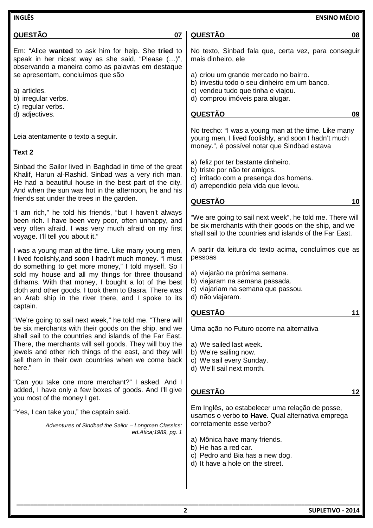| <b>INGLÊS</b>                                                                                                                                                                                                                                                                       | <b>ENSINO MÉDIO</b>                                                                                                                                                           |
|-------------------------------------------------------------------------------------------------------------------------------------------------------------------------------------------------------------------------------------------------------------------------------------|-------------------------------------------------------------------------------------------------------------------------------------------------------------------------------|
| <b>QUESTÃO</b><br>07                                                                                                                                                                                                                                                                | <b>QUESTÃO</b><br>08                                                                                                                                                          |
| Em: "Alice wanted to ask him for help. She tried to<br>speak in her nicest way as she said, "Please ()",<br>observando a maneira como as palavras em destaque                                                                                                                       | No texto, Sinbad fala que, certa vez, para conseguir<br>mais dinheiro, ele                                                                                                    |
| se apresentam, concluímos que são                                                                                                                                                                                                                                                   | a) criou um grande mercado no bairro.<br>b) investiu todo o seu dinheiro em um banco.                                                                                         |
| a) articles.<br>b) irregular verbs.<br>c) regular verbs.                                                                                                                                                                                                                            | c) vendeu tudo que tinha e viajou.<br>d) comprou imóveis para alugar.                                                                                                         |
| d) adjectives.                                                                                                                                                                                                                                                                      | <b>QUESTÃO</b><br>09                                                                                                                                                          |
| Leia atentamente o texto a seguir.                                                                                                                                                                                                                                                  | No trecho: "I was a young man at the time. Like many<br>young men, I lived foolishly, and soon I hadn't much<br>money.", é possível notar que Sindbad estava                  |
| Text 2                                                                                                                                                                                                                                                                              | a) feliz por ter bastante dinheiro.                                                                                                                                           |
| Sinbad the Sailor lived in Baghdad in time of the great<br>Khalif, Harun al-Rashid. Sinbad was a very rich man.<br>He had a beautiful house in the best part of the city.<br>And when the sun was hot in the afternoon, he and his                                                  | b) triste por não ter amigos.<br>c) irritado com a presença dos homens.<br>d) arrependido pela vida que levou.                                                                |
| friends sat under the trees in the garden.                                                                                                                                                                                                                                          | <u>QUESTÃO</u><br>10                                                                                                                                                          |
| "I am rich," he told his friends, "but I haven't always<br>been rich. I have been very poor, often unhappy, and<br>very often afraid. I was very much afraid on my first<br>voyage. I'll tell you about it."                                                                        | "We are going to sail next week", he told me. There will<br>be six merchants with their goods on the ship, and we<br>shall sail to the countries and islands of the Far East. |
| I was a young man at the time. Like many young men,<br>I lived foolishly, and soon I hadn't much money. "I must                                                                                                                                                                     | A partir da leitura do texto acima, concluímos que as<br>pessoas                                                                                                              |
| do something to get more money," I told myself. So I<br>sold my house and all my things for three thousand<br>dirhams. With that money, I bought a lot of the best<br>cloth and other goods. I took them to Basra. There was<br>an Arab ship in the river there, and I spoke to its | a) viajarão na próxima semana.<br>b) viajaram na semana passada.<br>c) viajariam na semana que passou.<br>d) não viajaram.                                                    |
| captain.                                                                                                                                                                                                                                                                            | <b>QUESTÃO</b><br>11                                                                                                                                                          |
| "We're going to sail next week," he told me. "There will<br>be six merchants with their goods on the ship, and we<br>shall sail to the countries and islands of the Far East.                                                                                                       | Uma ação no Futuro ocorre na alternativa                                                                                                                                      |
| There, the merchants will sell goods. They will buy the<br>jewels and other rich things of the east, and they will<br>sell them in their own countries when we come back<br>here."                                                                                                  | a) We sailed last week.<br>b) We're sailing now.<br>c) We sail every Sunday.<br>d) We'll sail next month.                                                                     |
| "Can you take one more merchant?" I asked. And I<br>added, I have only a few boxes of goods. And I'll give<br>you most of the money I get.                                                                                                                                          | <b>QUESTÃO</b><br>12                                                                                                                                                          |
| "Yes, I can take you," the captain said.                                                                                                                                                                                                                                            | Em Inglês, ao estabelecer uma relação de posse,<br>usamos o verbo to Have. Qual alternativa emprega                                                                           |
| Adventures of Sindbad the Sailor - Longman Classics;<br>ed.Atica; 1989, pg. 1                                                                                                                                                                                                       | corretamente esse verbo?                                                                                                                                                      |
|                                                                                                                                                                                                                                                                                     | a) Mônica have many friends.<br>b) He has a red car.<br>c) Pedro and Bia has a new dog.<br>d) It have a hole on the street.                                                   |
|                                                                                                                                                                                                                                                                                     |                                                                                                                                                                               |